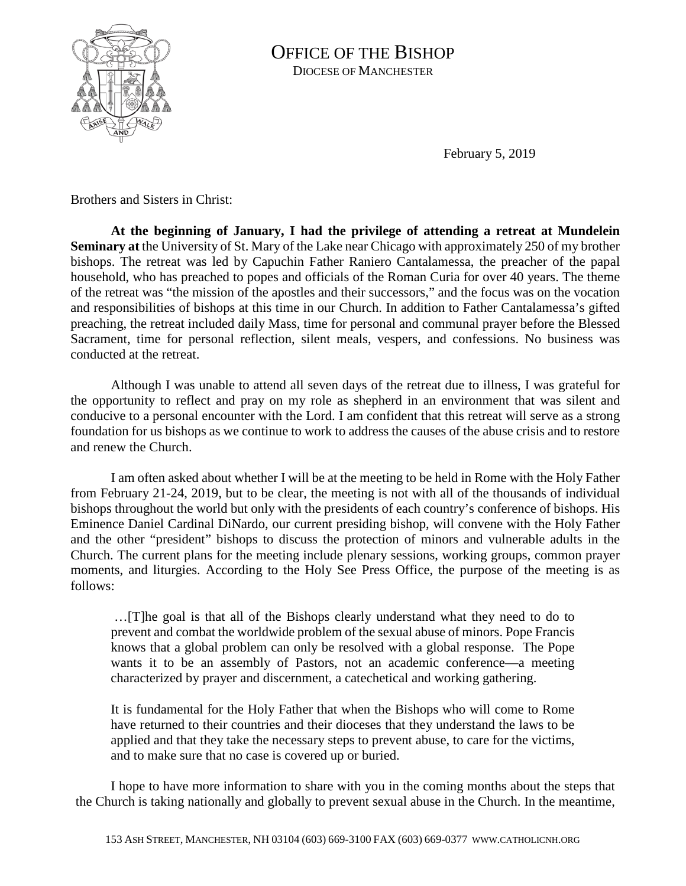

OFFICE OF THE BISHOP DIOCESE OF MANCHESTER

February 5, 2019

Brothers and Sisters in Christ:

**At the beginning of January, I had the privilege of attending a retreat at Mundelein Seminary at** the University of St. Mary of the Lake near Chicago with approximately 250 of my brother bishops. The retreat was led by Capuchin Father Raniero Cantalamessa, the preacher of the papal household, who has preached to popes and officials of the Roman Curia for over 40 years. The theme of the retreat was "the mission of the apostles and their successors," and the focus was on the vocation and responsibilities of bishops at this time in our Church. In addition to Father Cantalamessa's gifted preaching, the retreat included daily Mass, time for personal and communal prayer before the Blessed Sacrament, time for personal reflection, silent meals, vespers, and confessions. No business was conducted at the retreat.

Although I was unable to attend all seven days of the retreat due to illness, I was grateful for the opportunity to reflect and pray on my role as shepherd in an environment that was silent and conducive to a personal encounter with the Lord. I am confident that this retreat will serve as a strong foundation for us bishops as we continue to work to address the causes of the abuse crisis and to restore and renew the Church.

I am often asked about whether I will be at the meeting to be held in Rome with the Holy Father from February 21-24, 2019, but to be clear, the meeting is not with all of the thousands of individual bishops throughout the world but only with the presidents of each country's conference of bishops. His Eminence Daniel Cardinal DiNardo, our current presiding bishop, will convene with the Holy Father and the other "president" bishops to discuss the protection of minors and vulnerable adults in the Church. The current plans for the meeting include plenary sessions, working groups, common prayer moments, and liturgies. According to the Holy See Press Office, the purpose of the meeting is as follows:

…[T]he goal is that all of the Bishops clearly understand what they need to do to prevent and combat the worldwide problem of the sexual abuse of minors. Pope Francis knows that a global problem can only be resolved with a global response. The Pope wants it to be an assembly of Pastors, not an academic conference—a meeting characterized by prayer and discernment, a catechetical and working gathering.

It is fundamental for the Holy Father that when the Bishops who will come to Rome have returned to their countries and their dioceses that they understand the laws to be applied and that they take the necessary steps to prevent abuse, to care for the victims, and to make sure that no case is covered up or buried.

I hope to have more information to share with you in the coming months about the steps that the Church is taking nationally and globally to prevent sexual abuse in the Church. In the meantime,